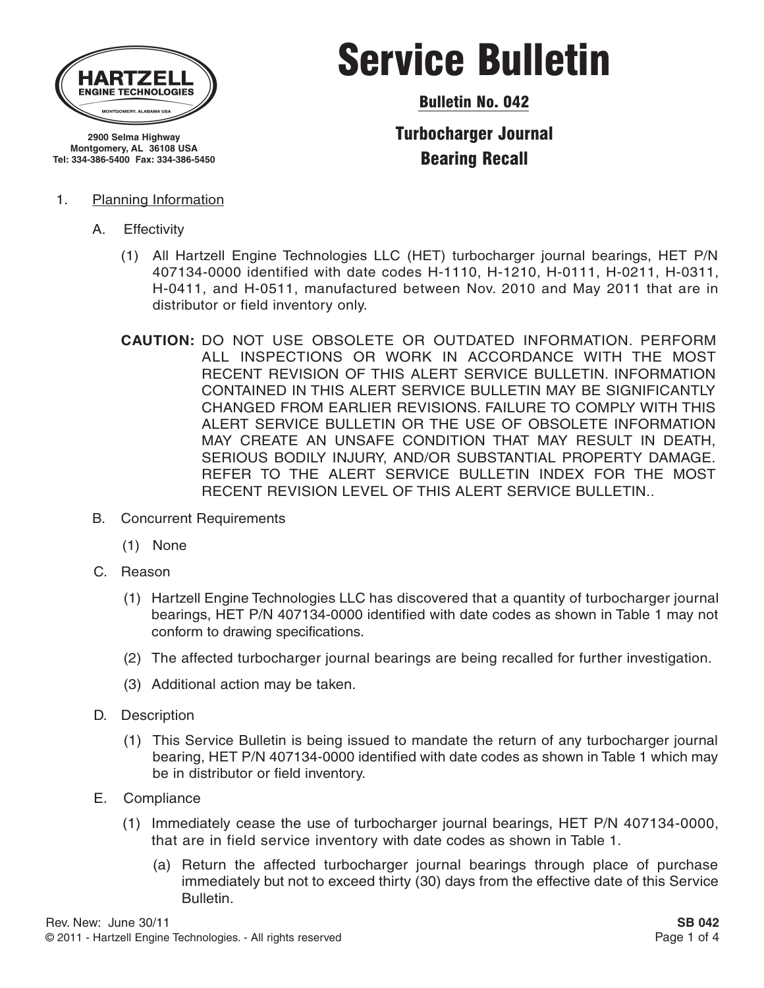

**2900 Selma Highway Montgomery, AL 36108 USA Tel: 334-386-5400 Fax: 334-386-5450**

#### 1. Planning Information

- A. Effectivity
	- (1) All Hartzell Engine Technologies LLC (HET) turbocharger journal bearings, HET P/N 407134-0000 identified with date codes H-1110, H-1210, H-0111, H-0211, H-0311, H-0411, and H-0511, manufactured between Nov. 2010 and May 2011 that are in distributor or field inventory only.
	- **CAUTION:** DO NOT USE OBSOLETE OR OUTDATED INFORMATION. PERFORM ALL INSPECTIONS OR WORK IN ACCORDANCE WITH THE MOST RECENT REVISION OF THIS ALERT SERVICE BULLETIN. INFORMATION CONTAINED IN THIS ALERT SERVICE BULLETIN MAY BE SIGNIFICANTLY CHANGED FROM EARLIER REVISIONS. FAILURE TO COMPLY WITH THIS ALERT SERVICE BULLETIN OR THE USE OF OBSOLETE INFORMATION MAY CREATE AN UNSAFE CONDITION THAT MAY RESULT IN DEATH, SERIOUS BODILY INJURY, AND/OR SUBSTANTIAL PROPERTY DAMAGE. REFER TO THE ALERT SERVICE BULLETIN INDEX FOR THE MOST RECENT REVISION LEVEL OF THIS ALERT SERVICE BULLETIN..
- B. Concurrent Requirements
	- (1) None
- C. Reason
	- (1) Hartzell Engine Technologies LLC has discovered that a quantity of turbocharger journal bearings, HET P/N 407134-0000 identified with date codes as shown in Table 1 may not conform to drawing specifications.
	- (2) The affected turbocharger journal bearings are being recalled for further investigation.
	- (3) Additional action may be taken.
- D. Description
	- (1) This Service Bulletin is being issued to mandate the return of any turbocharger journal bearing, HET P/N 407134-0000 identified with date codes as shown in Table 1 which may be in distributor or field inventory.
- E. Compliance
	- (1) Immediately cease the use of turbocharger journal bearings, HET P/N 407134-0000, that are in field service inventory with date codes as shown in Table 1.
		- (a) Return the affected turbocharger journal bearings through place of purchase immediately but not to exceed thirty (30) days from the effective date of this Service Bulletin.

# Service Bulletin

Bulletin No. 042

Turbocharger Journal Bearing Recall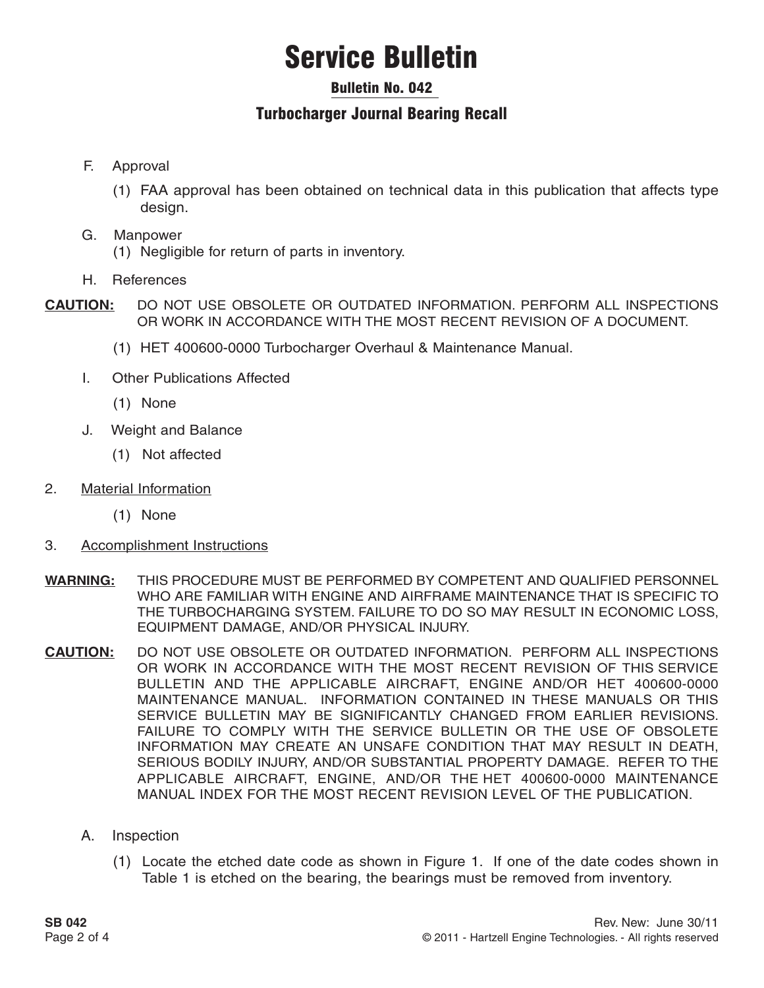# Service Bulletin

### Bulletin No. 042

### Turbocharger Journal Bearing Recall

- F. Approval
	- (1) FAA approval has been obtained on technical data in this publication that affects type design.
- G. Manpower
	- (1) Negligible for return of parts in inventory.
- H. References
- **CAUTION:** DO NOT USE OBSOLETE OR OUTDATED INFORMATION. PERFORM ALL INSPECTIONS OR WORK IN ACCORDANCE WITH THE MOST RECENT REVISION OF A DOCUMENT.
	- (1) HET 400600-0000 Turbocharger Overhaul & Maintenance Manual.
	- I. Other Publications Affected
		- (1) None
	- J. Weight and Balance
		- (1) Not affected
- 2. Material Information
	- (1) None
- 3. Accomplishment Instructions
- **WARNING:** THIS PROCEDURE MUST BE PERFORMED BY COMPETENT AND QUALIFIED PERSONNEL WHO ARE FAMILIAR WITH ENGINE AND AIRFRAME MAINTENANCE THAT IS SPECIFIC TO THE TURBOCHARGING SYSTEM. FAILURE TO DO SO MAY RESULT IN ECONOMIC LOSS, EQUIPMENT DAMAGE, AND/OR PHYSICAL INJURY.
- **CAUTION:** DO NOT USE OBSOLETE OR OUTDATED INFORMATION. PERFORM ALL INSPECTIONS OR WORK IN ACCORDANCE WITH THE MOST RECENT REVISION OF THIS SERVICE BULLETIN AND THE APPLICABLE AIRCRAFT, ENGINE AND/OR HET 400600-0000 MAINTENANCE MANUAL. INFORMATION CONTAINED IN THESE MANUALS OR THIS SERVICE BULLETIN MAY BE SIGNIFICANTLY CHANGED FROM EARLIER REVISIONS. FAILURE TO COMPLY WITH THE SERVICE BULLETIN OR THE USE OF OBSOLETE INFORMATION MAY CREATE AN UNSAFE CONDITION THAT MAY RESULT IN DEATH, SERIOUS BODILY INJURY, AND/OR SUBSTANTIAL PROPERTY DAMAGE. REFER TO THE APPLICABLE AIRCRAFT, ENGINE, AND/OR THE HET 400600-0000 MAINTENANCE MANUAL INDEX FOR THE MOST RECENT REVISION LEVEL OF THE PUBLICATION.
	- A. Inspection
		- (1) Locate the etched date code as shown in Figure 1. If one of the date codes shown in Table 1 is etched on the bearing, the bearings must be removed from inventory.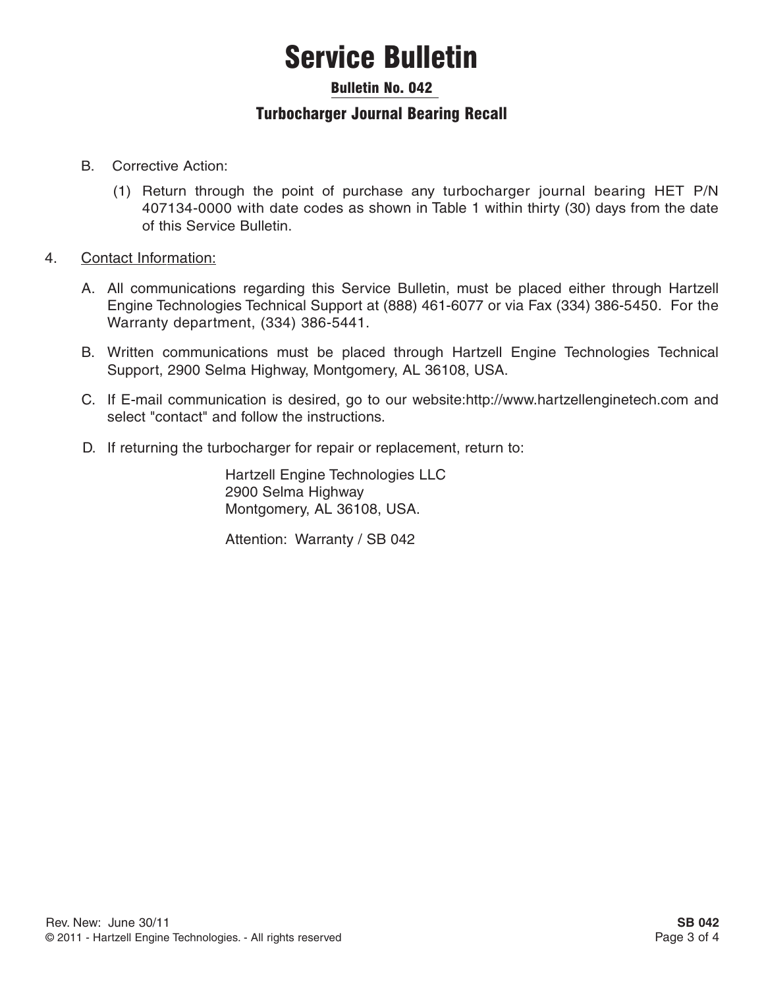# Service Bulletin

#### Bulletin No. 042

### Turbocharger Journal Bearing Recall

- B. Corrective Action:
	- (1) Return through the point of purchase any turbocharger journal bearing HET P/N 407134-0000 with date codes as shown in Table 1 within thirty (30) days from the date of this Service Bulletin.
- 4. Contact Information:
	- A. All communications regarding this Service Bulletin, must be placed either through Hartzell Engine Technologies Technical Support at (888) 461-6077 or via Fax (334) 386-5450. For the Warranty department, (334) 386-5441.
	- B. Written communications must be placed through Hartzell Engine Technologies Technical Support, 2900 Selma Highway, Montgomery, AL 36108, USA.
	- C. If E-mail communication is desired, go to our website:http://www.hartzellenginetech.com and select "contact" and follow the instructions.
	- D. If returning the turbocharger for repair or replacement, return to:

Hartzell Engine Technologies LLC 2900 Selma Highway Montgomery, AL 36108, USA.

Attention: Warranty / SB 042